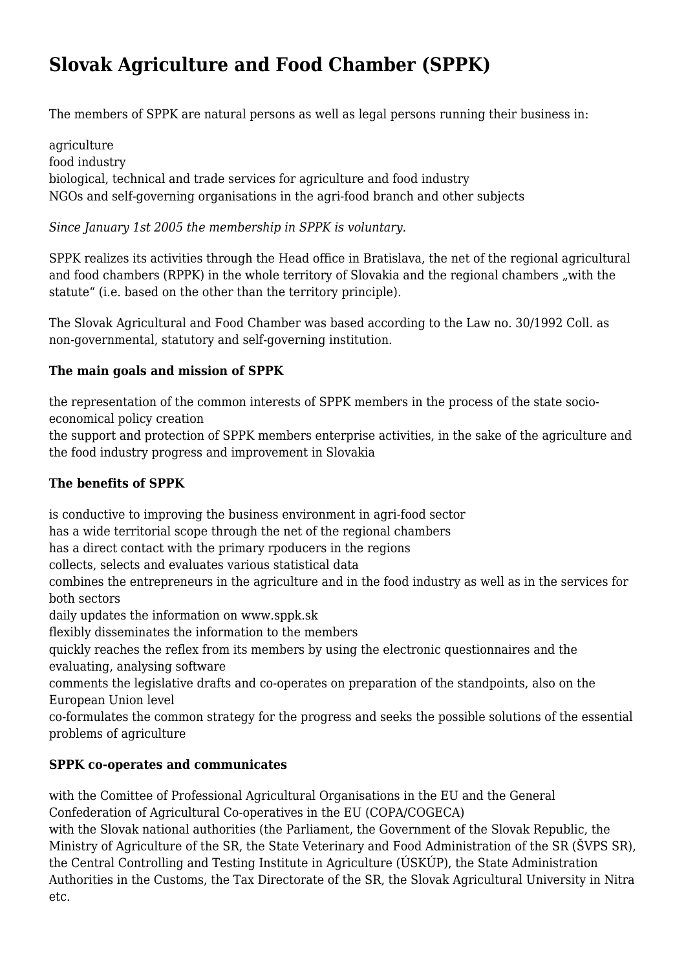# **Slovak Agriculture and Food Chamber (SPPK)**

The members of SPPK are natural persons as well as legal persons running their business in:

agriculture food industry biological, technical and trade services for agriculture and food industry NGOs and self-governing organisations in the agri-food branch and other subjects

### *Since January 1st 2005 the membership in SPPK is voluntary.*

SPPK realizes its activities through the Head office in Bratislava, the net of the regional agricultural and food chambers (RPPK) in the whole territory of Slovakia and the regional chambers "with the statute" (i.e. based on the other than the territory principle).

The Slovak Agricultural and Food Chamber was based according to the Law no. 30/1992 Coll. as non-governmental, statutory and self-governing institution.

# **The main goals and mission of SPPK**

the representation of the common interests of SPPK members in the process of the state socioeconomical policy creation

the support and protection of SPPK members enterprise activities, in the sake of the agriculture and the food industry progress and improvement in Slovakia

# **The benefits of SPPK**

is conductive to improving the business environment in agri-food sector

has a wide territorial scope through the net of the regional chambers

has a direct contact with the primary rpoducers in the regions

collects, selects and evaluates various statistical data

combines the entrepreneurs in the agriculture and in the food industry as well as in the services for both sectors

daily updates the information on www.sppk.sk

flexibly disseminates the information to the members

quickly reaches the reflex from its members by using the electronic questionnaires and the evaluating, analysing software

comments the legislative drafts and co-operates on preparation of the standpoints, also on the European Union level

co-formulates the common strategy for the progress and seeks the possible solutions of the essential problems of agriculture

# **SPPK co-operates and communicates**

with the Comittee of Professional Agricultural Organisations in the EU and the General Confederation of Agricultural Co-operatives in the EU (COPA/COGECA)

with the Slovak national authorities (the Parliament, the Government of the Slovak Republic, the Ministry of Agriculture of the SR, the State Veterinary and Food Administration of the SR (ŠVPS SR), the Central Controlling and Testing Institute in Agriculture (ÚSKÚP), the State Administration Authorities in the Customs, the Tax Directorate of the SR, the Slovak Agricultural University in Nitra etc.